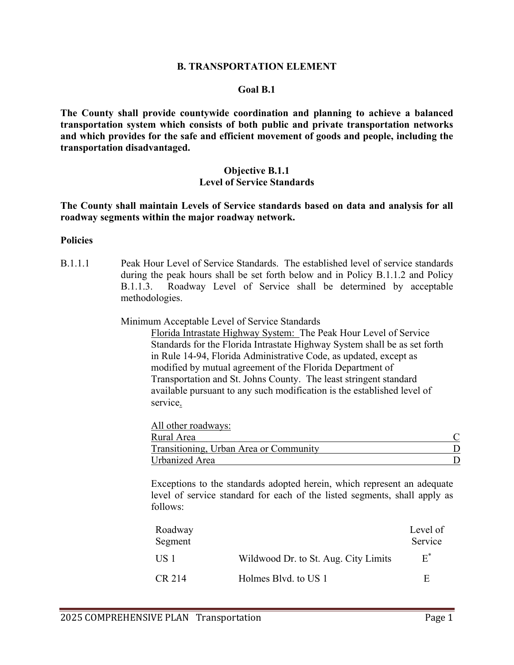#### **B. TRANSPORTATION ELEMENT**

#### **Goal B.1**

**The County shall provide countywide coordination and planning to achieve a balanced transportation system which consists of both public and private transportation networks and which provides for the safe and efficient movement of goods and people, including the transportation disadvantaged.** 

## **Objective B.1.1 Level of Service Standards**

**The County shall maintain Levels of Service standards based on data and analysis for all roadway segments within the major roadway network.**

#### **Policies**

B.1.1.1 Peak Hour Level of Service Standards. The established level of service standards during the peak hours shall be set forth below and in Policy B.1.1.2 and Policy B.1.1.3. Roadway Level of Service shall be determined by acceptable methodologies.

#### Minimum Acceptable Level of Service Standards

Florida Intrastate Highway System: The Peak Hour Level of Service Standards for the Florida Intrastate Highway System shall be as set forth in Rule 14-94, Florida Administrative Code, as updated, except as modified by mutual agreement of the Florida Department of Transportation and St. Johns County. The least stringent standard available pursuant to any such modification is the established level of service.

| All other roadways:                    |  |
|----------------------------------------|--|
| Rural Area                             |  |
| Transitioning, Urban Area or Community |  |
| Urbanized Area                         |  |

Exceptions to the standards adopted herein, which represent an adequate level of service standard for each of the listed segments, shall apply as follows:

| Roadway<br>Segment |                                      | Level of<br>Service |
|--------------------|--------------------------------------|---------------------|
| US 1               | Wildwood Dr. to St. Aug. City Limits | $E^*$               |
| CR 214             | Holmes Blvd. to US 1                 | E                   |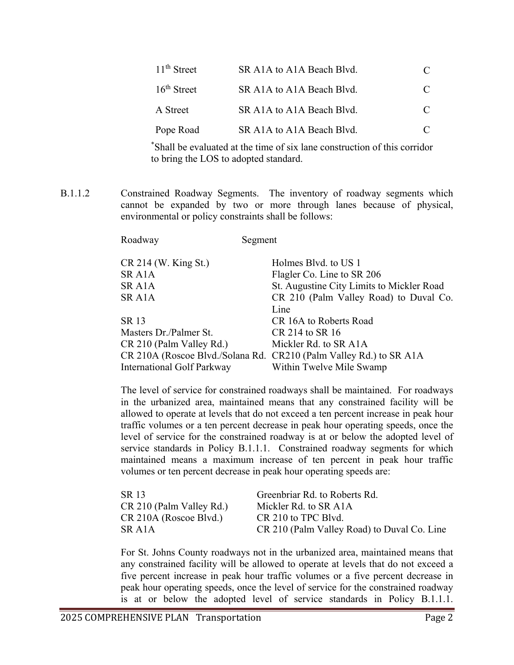| 11 <sup>th</sup> Street | SR A1A to A1A Beach Blvd. |           |
|-------------------------|---------------------------|-----------|
| $16th$ Street           | SR A1A to A1A Beach Blvd. | C         |
| A Street                | SR A1A to A1A Beach Blvd. | $\subset$ |
| Pope Road               | SR A1A to A1A Beach Blvd. |           |

 \* Shall be evaluated at the time of six lane construction of this corridor to bring the LOS to adopted standard.

B.1.1.2 Constrained Roadway Segments. The inventory of roadway segments which cannot be expanded by two or more through lanes because of physical, environmental or policy constraints shall be follows:

Roadway Segment

| $CR$ 214 (W. King St.)     | Holmes Blvd. to US 1                                               |
|----------------------------|--------------------------------------------------------------------|
| SR A <sub>1</sub> A        | Flagler Co. Line to SR 206                                         |
| SR A <sub>1</sub> A        | St. Augustine City Limits to Mickler Road                          |
| SR A1A                     | CR 210 (Palm Valley Road) to Duval Co.                             |
|                            | Line                                                               |
| SR 13                      | CR 16A to Roberts Road                                             |
| Masters Dr./Palmer St.     | CR 214 to SR 16                                                    |
| CR 210 (Palm Valley Rd.)   | Mickler Rd. to SR A1A                                              |
|                            | CR 210A (Roscoe Blvd./Solana Rd. CR210 (Palm Valley Rd.) to SR A1A |
| International Golf Parkway | Within Twelve Mile Swamp                                           |

The level of service for constrained roadways shall be maintained. For roadways in the urbanized area, maintained means that any constrained facility will be allowed to operate at levels that do not exceed a ten percent increase in peak hour traffic volumes or a ten percent decrease in peak hour operating speeds, once the level of service for the constrained roadway is at or below the adopted level of service standards in Policy B.1.1.1. Constrained roadway segments for which maintained means a maximum increase of ten percent in peak hour traffic volumes or ten percent decrease in peak hour operating speeds are:

| SR 13                    | Greenbriar Rd. to Roberts Rd.               |
|--------------------------|---------------------------------------------|
| CR 210 (Palm Valley Rd.) | Mickler Rd. to SR A1A                       |
| CR 210A (Roscoe Blvd.)   | CR 210 to TPC Blvd.                         |
| SR A <sub>1</sub> A      | CR 210 (Palm Valley Road) to Duval Co. Line |

For St. Johns County roadways not in the urbanized area, maintained means that any constrained facility will be allowed to operate at levels that do not exceed a five percent increase in peak hour traffic volumes or a five percent decrease in peak hour operating speeds, once the level of service for the constrained roadway is at or below the adopted level of service standards in Policy B.1.1.1.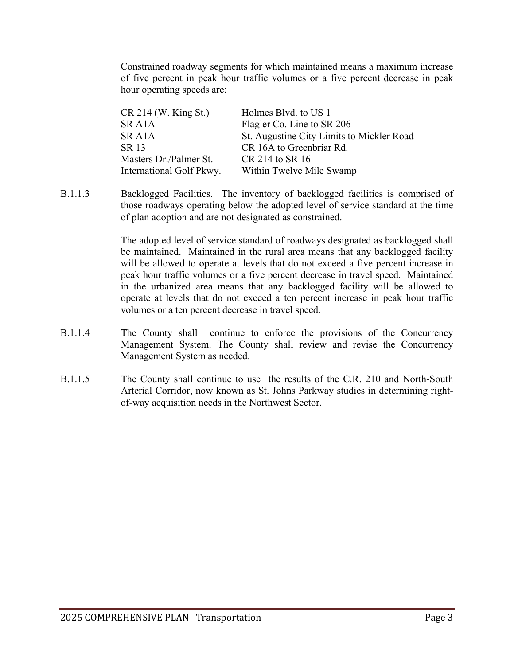Constrained roadway segments for which maintained means a maximum increase of five percent in peak hour traffic volumes or a five percent decrease in peak hour operating speeds are:

| CR 214 (W. King St.)     | Holmes Blvd. to US 1                      |
|--------------------------|-------------------------------------------|
| SR A1A                   | Flagler Co. Line to SR 206                |
| SR A1A                   | St. Augustine City Limits to Mickler Road |
| SR 13                    | CR 16A to Greenbriar Rd.                  |
| Masters Dr./Palmer St.   | CR 214 to SR 16                           |
| International Golf Pkwy. | Within Twelve Mile Swamp                  |

B.1.1.3 Backlogged Facilities. The inventory of backlogged facilities is comprised of those roadways operating below the adopted level of service standard at the time of plan adoption and are not designated as constrained.

> The adopted level of service standard of roadways designated as backlogged shall be maintained. Maintained in the rural area means that any backlogged facility will be allowed to operate at levels that do not exceed a five percent increase in peak hour traffic volumes or a five percent decrease in travel speed. Maintained in the urbanized area means that any backlogged facility will be allowed to operate at levels that do not exceed a ten percent increase in peak hour traffic volumes or a ten percent decrease in travel speed.

- B.1.1.4 The County shall continue to enforce the provisions of the Concurrency Management System. The County shall review and revise the Concurrency Management System as needed.
- B.1.1.5 The County shall continue to use the results of the C.R. 210 and North-South Arterial Corridor, now known as St. Johns Parkway studies in determining rightof-way acquisition needs in the Northwest Sector.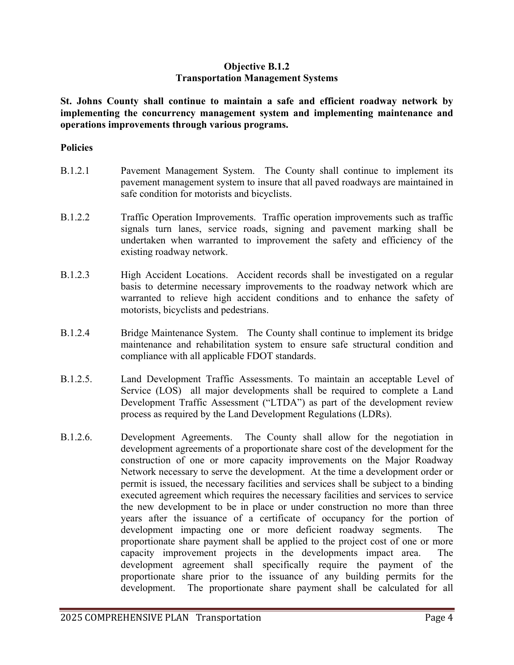## **Objective B.1.2 Transportation Management Systems**

**St. Johns County shall continue to maintain a safe and efficient roadway network by implementing the concurrency management system and implementing maintenance and operations improvements through various programs.**

- B.1.2.1 Pavement Management System. The County shall continue to implement its pavement management system to insure that all paved roadways are maintained in safe condition for motorists and bicyclists.
- B.1.2.2 Traffic Operation Improvements. Traffic operation improvements such as traffic signals turn lanes, service roads, signing and pavement marking shall be undertaken when warranted to improvement the safety and efficiency of the existing roadway network.
- B.1.2.3 High Accident Locations. Accident records shall be investigated on a regular basis to determine necessary improvements to the roadway network which are warranted to relieve high accident conditions and to enhance the safety of motorists, bicyclists and pedestrians.
- B.1.2.4 Bridge Maintenance System. The County shall continue to implement its bridge maintenance and rehabilitation system to ensure safe structural condition and compliance with all applicable FDOT standards.
- B.1.2.5. Land Development Traffic Assessments. To maintain an acceptable Level of Service (LOS) all major developments shall be required to complete a Land Development Traffic Assessment ("LTDA") as part of the development review process as required by the Land Development Regulations (LDRs).
- B.1.2.6. Development Agreements. The County shall allow for the negotiation in development agreements of a proportionate share cost of the development for the construction of one or more capacity improvements on the Major Roadway Network necessary to serve the development. At the time a development order or permit is issued, the necessary facilities and services shall be subject to a binding executed agreement which requires the necessary facilities and services to service the new development to be in place or under construction no more than three years after the issuance of a certificate of occupancy for the portion of development impacting one or more deficient roadway segments. The proportionate share payment shall be applied to the project cost of one or more capacity improvement projects in the developments impact area. The development agreement shall specifically require the payment of the proportionate share prior to the issuance of any building permits for the development. The proportionate share payment shall be calculated for all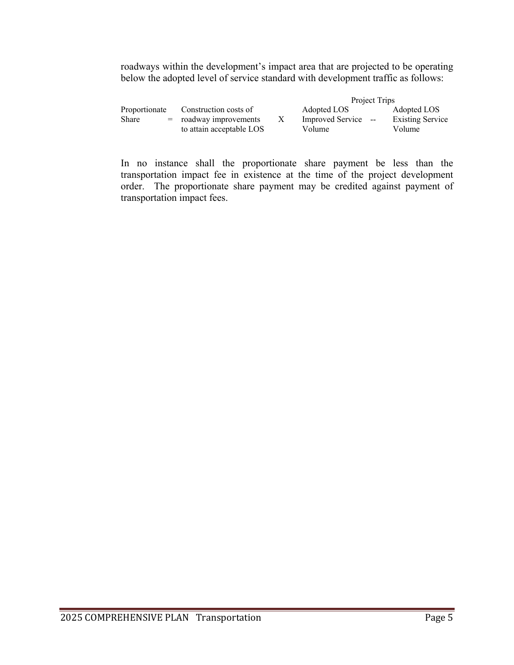roadways within the development's impact area that are projected to be operating below the adopted level of service standard with development traffic as follows:

|               |                          |   |                     | Project Trips |                         |
|---------------|--------------------------|---|---------------------|---------------|-------------------------|
| Proportionate | Construction costs of    |   | Adopted LOS         |               | Adopted LOS             |
| Share         | $=$ roadway improvements | X | Improved Service -- |               | <b>Existing Service</b> |
|               | to attain acceptable LOS |   | Volume              |               | Volume                  |

In no instance shall the proportionate share payment be less than the transportation impact fee in existence at the time of the project development order. The proportionate share payment may be credited against payment of transportation impact fees.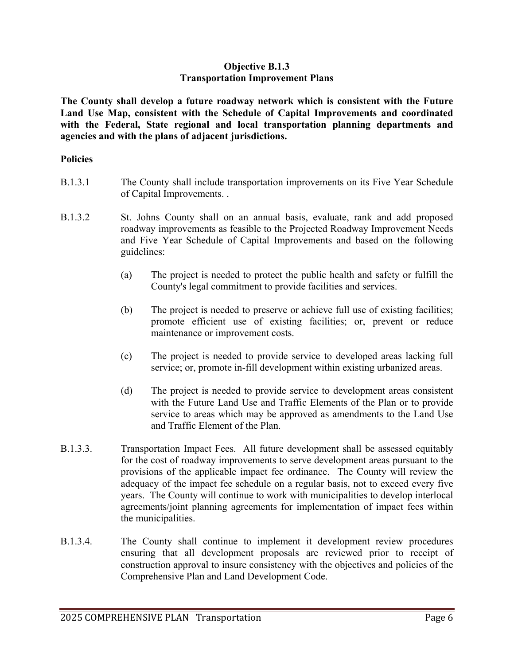## **Objective B.1.3 Transportation Improvement Plans**

**The County shall develop a future roadway network which is consistent with the Future Land Use Map, consistent with the Schedule of Capital Improvements and coordinated with the Federal, State regional and local transportation planning departments and agencies and with the plans of adjacent jurisdictions.**

- B.1.3.1 The County shall include transportation improvements on its Five Year Schedule of Capital Improvements. .
- B.1.3.2 St. Johns County shall on an annual basis, evaluate, rank and add proposed roadway improvements as feasible to the Projected Roadway Improvement Needs and Five Year Schedule of Capital Improvements and based on the following guidelines:
	- (a) The project is needed to protect the public health and safety or fulfill the County's legal commitment to provide facilities and services.
	- (b) The project is needed to preserve or achieve full use of existing facilities; promote efficient use of existing facilities; or, prevent or reduce maintenance or improvement costs.
	- (c) The project is needed to provide service to developed areas lacking full service; or, promote in-fill development within existing urbanized areas.
	- (d) The project is needed to provide service to development areas consistent with the Future Land Use and Traffic Elements of the Plan or to provide service to areas which may be approved as amendments to the Land Use and Traffic Element of the Plan.
- B.1.3.3. Transportation Impact Fees. All future development shall be assessed equitably for the cost of roadway improvements to serve development areas pursuant to the provisions of the applicable impact fee ordinance. The County will review the adequacy of the impact fee schedule on a regular basis, not to exceed every five years. The County will continue to work with municipalities to develop interlocal agreements/joint planning agreements for implementation of impact fees within the municipalities.
- B.1.3.4. The County shall continue to implement it development review procedures ensuring that all development proposals are reviewed prior to receipt of construction approval to insure consistency with the objectives and policies of the Comprehensive Plan and Land Development Code.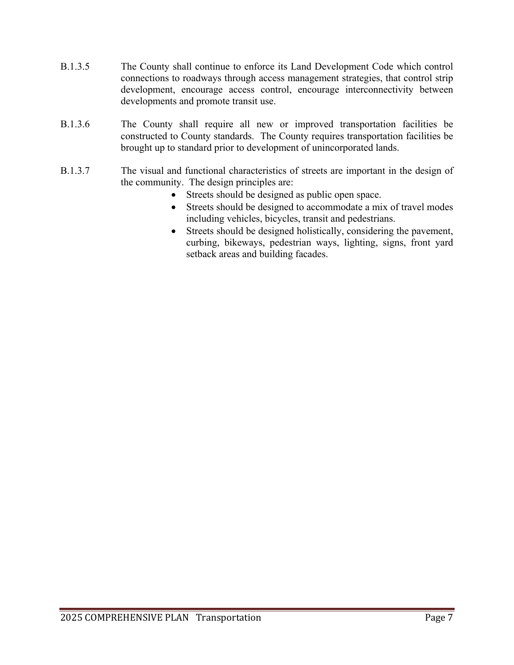- B.1.3.5 The County shall continue to enforce its Land Development Code which control connections to roadways through access management strategies, that control strip development, encourage access control, encourage interconnectivity between developments and promote transit use.
- B.1.3.6 The County shall require all new or improved transportation facilities be constructed to County standards. The County requires transportation facilities be brought up to standard prior to development of unincorporated lands.
- B.1.3.7 The visual and functional characteristics of streets are important in the design of the community. The design principles are:
	- Streets should be designed as public open space.
	- Streets should be designed to accommodate a mix of travel modes including vehicles, bicycles, transit and pedestrians.
	- Streets should be designed holistically, considering the pavement, curbing, bikeways, pedestrian ways, lighting, signs, front yard setback areas and building facades.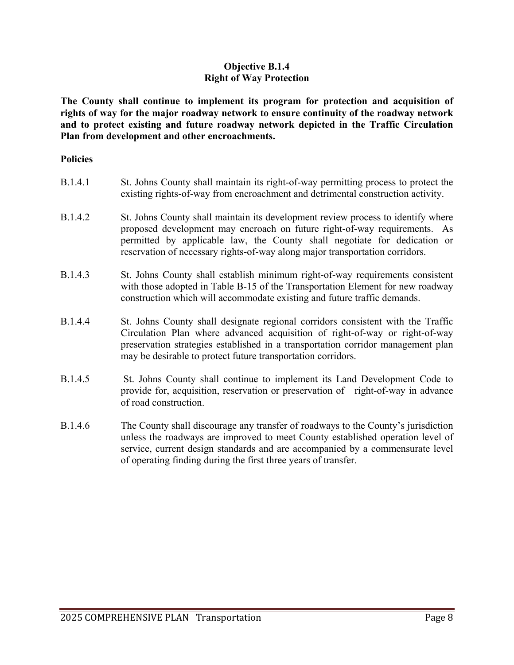# **Objective B.1.4 Right of Way Protection**

**The County shall continue to implement its program for protection and acquisition of rights of way for the major roadway network to ensure continuity of the roadway network and to protect existing and future roadway network depicted in the Traffic Circulation Plan from development and other encroachments.**

#### **Policies**

| B.1.4.1        | St. Johns County shall maintain its right-of-way permitting process to protect the<br>existing rights-of-way from encroachment and detrimental construction activity.                                                                                                                                                      |
|----------------|----------------------------------------------------------------------------------------------------------------------------------------------------------------------------------------------------------------------------------------------------------------------------------------------------------------------------|
| B.1.4.2        | St. Johns County shall maintain its development review process to identify where<br>proposed development may encroach on future right-of-way requirements. As<br>permitted by applicable law, the County shall negotiate for dedication or<br>reservation of necessary rights-of-way along major transportation corridors. |
| B.1.4.3        | St. Johns County shall establish minimum right-of-way requirements consistent<br>with those adopted in Table B-15 of the Transportation Element for new roadway<br>construction which will accommodate existing and future traffic demands.                                                                                |
| <b>B.1.4.4</b> | St. Johns County shall designate regional corridors consistent with the Traffic<br>Circulation Plan where advanced acquisition of right-of-way or right-of-way<br>preservation strategies established in a transportation corridor management plan<br>may be desirable to protect future transportation corridors.         |
| B.1.4.5        | St. Johns County shall continue to implement its Land Development Code to<br>provide for, acquisition, reservation or preservation of right-of-way in advance<br>of road construction.                                                                                                                                     |

B.1.4.6 The County shall discourage any transfer of roadways to the County's jurisdiction unless the roadways are improved to meet County established operation level of service, current design standards and are accompanied by a commensurate level of operating finding during the first three years of transfer.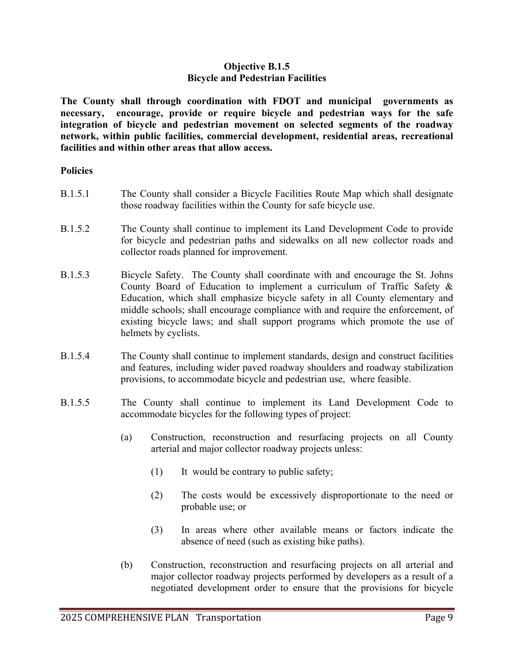## **Objective B.1.5 Bicycle and Pedestrian Facilities**

**The County shall through coordination with FDOT and municipal governments as necessary, encourage, provide or require bicycle and pedestrian ways for the safe integration of bicycle and pedestrian movement on selected segments of the roadway network, within public facilities, commercial development, residential areas, recreational facilities and within other areas that allow access.**

- B.1.5.1 The County shall consider a Bicycle Facilities Route Map which shall designate those roadway facilities within the County for safe bicycle use.
- B.1.5.2 The County shall continue to implement its Land Development Code to provide for bicycle and pedestrian paths and sidewalks on all new collector roads and collector roads planned for improvement.
- B.1.5.3 Bicycle Safety. The County shall coordinate with and encourage the St. Johns County Board of Education to implement a curriculum of Traffic Safety & Education, which shall emphasize bicycle safety in all County elementary and middle schools; shall encourage compliance with and require the enforcement, of existing bicycle laws; and shall support programs which promote the use of helmets by cyclists.
- B.1.5.4 The County shall continue to implement standards, design and construct facilities and features, including wider paved roadway shoulders and roadway stabilization provisions, to accommodate bicycle and pedestrian use, where feasible.
- B.1.5.5 The County shall continue to implement its Land Development Code to accommodate bicycles for the following types of project:
	- (a) Construction, reconstruction and resurfacing projects on all County arterial and major collector roadway projects unless:
		- (1) It would be contrary to public safety;
		- (2) The costs would be excessively disproportionate to the need or probable use; or
		- (3) In areas where other available means or factors indicate the absence of need (such as existing bike paths).
	- (b) Construction, reconstruction and resurfacing projects on all arterial and major collector roadway projects performed by developers as a result of a negotiated development order to ensure that the provisions for bicycle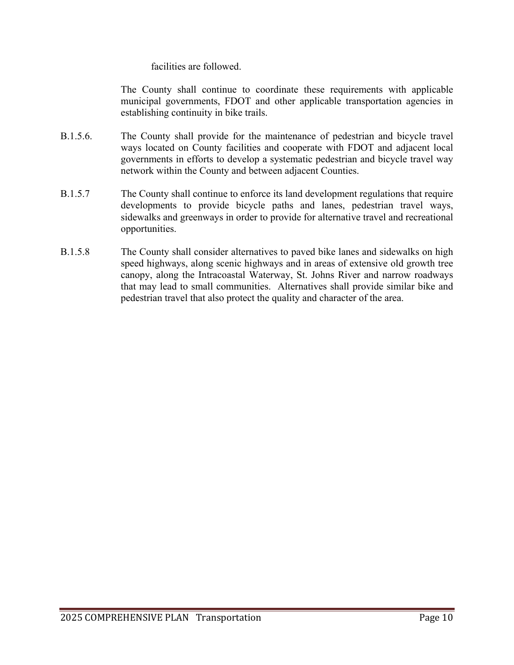## facilities are followed.

The County shall continue to coordinate these requirements with applicable municipal governments, FDOT and other applicable transportation agencies in establishing continuity in bike trails.

- B.1.5.6. The County shall provide for the maintenance of pedestrian and bicycle travel ways located on County facilities and cooperate with FDOT and adjacent local governments in efforts to develop a systematic pedestrian and bicycle travel way network within the County and between adjacent Counties.
- B.1.5.7 The County shall continue to enforce its land development regulations that require developments to provide bicycle paths and lanes, pedestrian travel ways, sidewalks and greenways in order to provide for alternative travel and recreational opportunities.
- B.1.5.8 The County shall consider alternatives to paved bike lanes and sidewalks on high speed highways, along scenic highways and in areas of extensive old growth tree canopy, along the Intracoastal Waterway, St. Johns River and narrow roadways that may lead to small communities. Alternatives shall provide similar bike and pedestrian travel that also protect the quality and character of the area.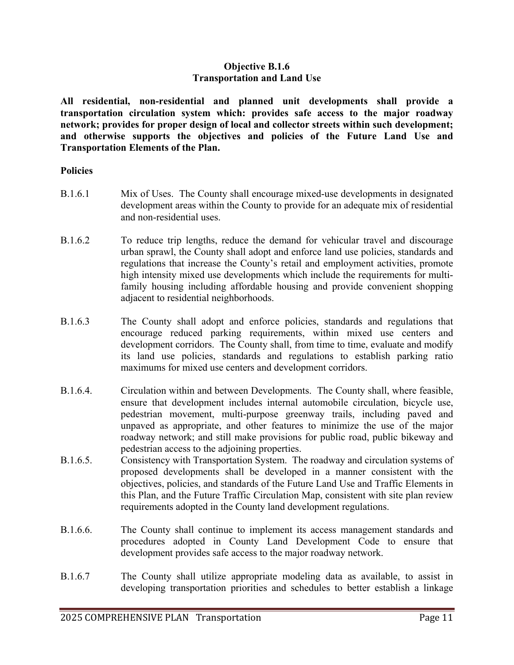## **Objective B.1.6 Transportation and Land Use**

**All residential, non-residential and planned unit developments shall provide a transportation circulation system which: provides safe access to the major roadway network; provides for proper design of local and collector streets within such development; and otherwise supports the objectives and policies of the Future Land Use and Transportation Elements of the Plan.**

- B.1.6.1 Mix of Uses. The County shall encourage mixed-use developments in designated development areas within the County to provide for an adequate mix of residential and non-residential uses.
- B.1.6.2 To reduce trip lengths, reduce the demand for vehicular travel and discourage urban sprawl, the County shall adopt and enforce land use policies, standards and regulations that increase the County's retail and employment activities, promote high intensity mixed use developments which include the requirements for multifamily housing including affordable housing and provide convenient shopping adjacent to residential neighborhoods.
- B.1.6.3 The County shall adopt and enforce policies, standards and regulations that encourage reduced parking requirements, within mixed use centers and development corridors. The County shall, from time to time, evaluate and modify its land use policies, standards and regulations to establish parking ratio maximums for mixed use centers and development corridors.
- B.1.6.4. Circulation within and between Developments. The County shall, where feasible, ensure that development includes internal automobile circulation, bicycle use, pedestrian movement, multi-purpose greenway trails, including paved and unpaved as appropriate, and other features to minimize the use of the major roadway network; and still make provisions for public road, public bikeway and pedestrian access to the adjoining properties.
- B.1.6.5. Consistency with Transportation System. The roadway and circulation systems of proposed developments shall be developed in a manner consistent with the objectives, policies, and standards of the Future Land Use and Traffic Elements in this Plan, and the Future Traffic Circulation Map, consistent with site plan review requirements adopted in the County land development regulations.
- B.1.6.6. The County shall continue to implement its access management standards and procedures adopted in County Land Development Code to ensure that development provides safe access to the major roadway network.
- B.1.6.7 The County shall utilize appropriate modeling data as available, to assist in developing transportation priorities and schedules to better establish a linkage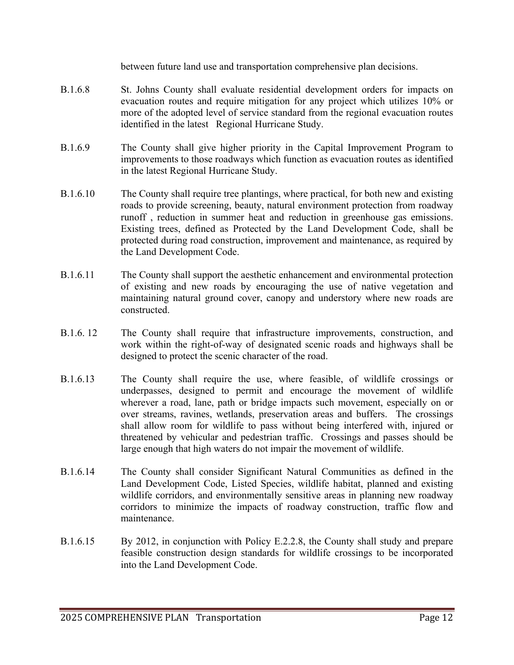between future land use and transportation comprehensive plan decisions.

- B.1.6.8 St. Johns County shall evaluate residential development orders for impacts on evacuation routes and require mitigation for any project which utilizes 10% or more of the adopted level of service standard from the regional evacuation routes identified in the latest Regional Hurricane Study.
- B.1.6.9 The County shall give higher priority in the Capital Improvement Program to improvements to those roadways which function as evacuation routes as identified in the latest Regional Hurricane Study.
- B.1.6.10 The County shall require tree plantings, where practical, for both new and existing roads to provide screening, beauty, natural environment protection from roadway runoff , reduction in summer heat and reduction in greenhouse gas emissions. Existing trees, defined as Protected by the Land Development Code, shall be protected during road construction, improvement and maintenance, as required by the Land Development Code.
- B.1.6.11 The County shall support the aesthetic enhancement and environmental protection of existing and new roads by encouraging the use of native vegetation and maintaining natural ground cover, canopy and understory where new roads are constructed.
- B.1.6. 12 The County shall require that infrastructure improvements, construction, and work within the right-of-way of designated scenic roads and highways shall be designed to protect the scenic character of the road.
- B.1.6.13 The County shall require the use, where feasible, of wildlife crossings or underpasses, designed to permit and encourage the movement of wildlife wherever a road, lane, path or bridge impacts such movement, especially on or over streams, ravines, wetlands, preservation areas and buffers. The crossings shall allow room for wildlife to pass without being interfered with, injured or threatened by vehicular and pedestrian traffic. Crossings and passes should be large enough that high waters do not impair the movement of wildlife.
- B.1.6.14 The County shall consider Significant Natural Communities as defined in the Land Development Code, Listed Species, wildlife habitat, planned and existing wildlife corridors, and environmentally sensitive areas in planning new roadway corridors to minimize the impacts of roadway construction, traffic flow and maintenance.
- B.1.6.15 By 2012, in conjunction with Policy E.2.2.8, the County shall study and prepare feasible construction design standards for wildlife crossings to be incorporated into the Land Development Code.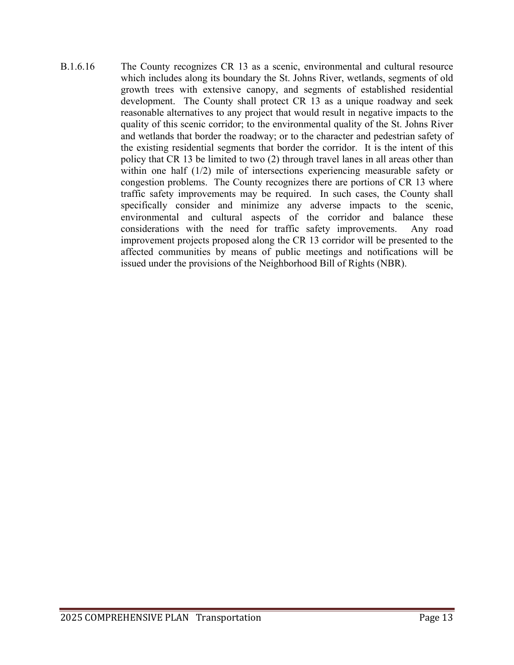B.1.6.16 The County recognizes CR 13 as a scenic, environmental and cultural resource which includes along its boundary the St. Johns River, wetlands, segments of old growth trees with extensive canopy, and segments of established residential development. The County shall protect CR 13 as a unique roadway and seek reasonable alternatives to any project that would result in negative impacts to the quality of this scenic corridor; to the environmental quality of the St. Johns River and wetlands that border the roadway; or to the character and pedestrian safety of the existing residential segments that border the corridor. It is the intent of this policy that CR 13 be limited to two (2) through travel lanes in all areas other than within one half (1/2) mile of intersections experiencing measurable safety or congestion problems. The County recognizes there are portions of CR 13 where traffic safety improvements may be required. In such cases, the County shall specifically consider and minimize any adverse impacts to the scenic, environmental and cultural aspects of the corridor and balance these considerations with the need for traffic safety improvements. Any road improvement projects proposed along the CR 13 corridor will be presented to the affected communities by means of public meetings and notifications will be issued under the provisions of the Neighborhood Bill of Rights (NBR).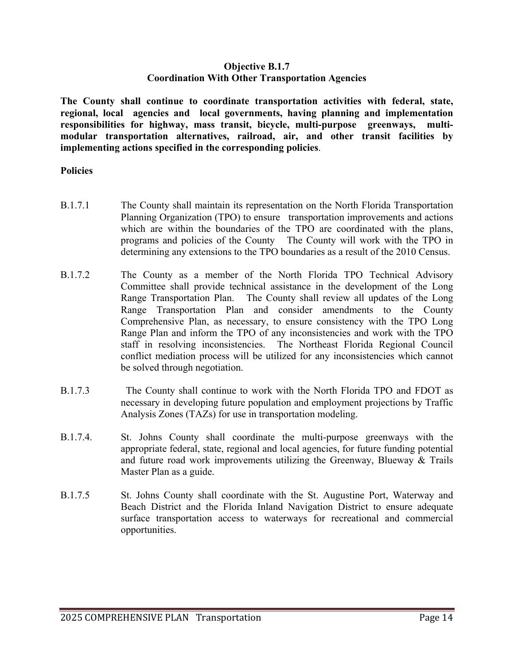## **Objective B.1.7 Coordination With Other Transportation Agencies**

**The County shall continue to coordinate transportation activities with federal, state, regional, local agencies and local governments, having planning and implementation responsibilities for highway, mass transit, bicycle, multi-purpose greenways, multimodular transportation alternatives, railroad, air, and other transit facilities by implementing actions specified in the corresponding policies**.

- B.1.7.1 The County shall maintain its representation on the North Florida Transportation Planning Organization (TPO) to ensure transportation improvements and actions which are within the boundaries of the TPO are coordinated with the plans, programs and policies of the County The County will work with the TPO in determining any extensions to the TPO boundaries as a result of the 2010 Census.
- B.1.7.2 The County as a member of the North Florida TPO Technical Advisory Committee shall provide technical assistance in the development of the Long Range Transportation Plan. The County shall review all updates of the Long Range Transportation Plan and consider amendments to the County Comprehensive Plan, as necessary, to ensure consistency with the TPO Long Range Plan and inform the TPO of any inconsistencies and work with the TPO staff in resolving inconsistencies. The Northeast Florida Regional Council conflict mediation process will be utilized for any inconsistencies which cannot be solved through negotiation.
- B.1.7.3 The County shall continue to work with the North Florida TPO and FDOT as necessary in developing future population and employment projections by Traffic Analysis Zones (TAZs) for use in transportation modeling.
- B.1.7.4. St. Johns County shall coordinate the multi-purpose greenways with the appropriate federal, state, regional and local agencies, for future funding potential and future road work improvements utilizing the Greenway, Blueway  $\&$  Trails Master Plan as a guide.
- B.1.7.5 St. Johns County shall coordinate with the St. Augustine Port, Waterway and Beach District and the Florida Inland Navigation District to ensure adequate surface transportation access to waterways for recreational and commercial opportunities.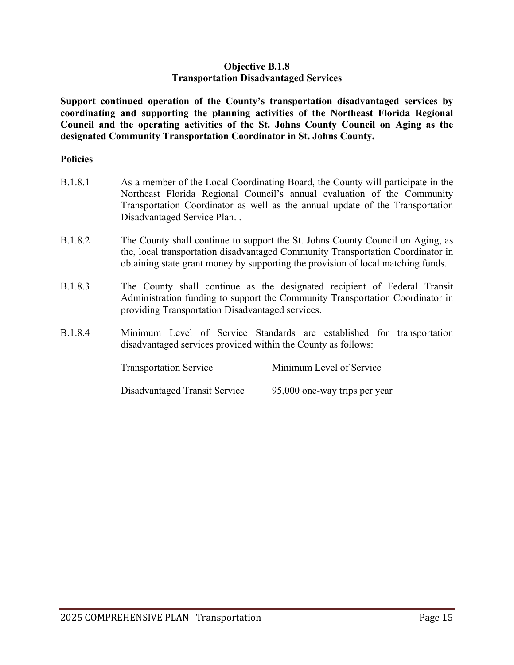## **Objective B.1.8 Transportation Disadvantaged Services**

**Support continued operation of the County's transportation disadvantaged services by coordinating and supporting the planning activities of the Northeast Florida Regional Council and the operating activities of the St. Johns County Council on Aging as the designated Community Transportation Coordinator in St. Johns County.**

| <b>B.1.8.1</b> | As a member of the Local Coordinating Board, the County will participate in the |
|----------------|---------------------------------------------------------------------------------|
|                | Northeast Florida Regional Council's annual evaluation of the Community         |
|                | Transportation Coordinator as well as the annual update of the Transportation   |
|                | Disadvantaged Service Plan                                                      |

- B.1.8.2 The County shall continue to support the St. Johns County Council on Aging, as the, local transportation disadvantaged Community Transportation Coordinator in obtaining state grant money by supporting the provision of local matching funds.
- B.1.8.3 The County shall continue as the designated recipient of Federal Transit Administration funding to support the Community Transportation Coordinator in providing Transportation Disadvantaged services.
- B.1.8.4 Minimum Level of Service Standards are established for transportation disadvantaged services provided within the County as follows:

| <b>Transportation Service</b> | Minimum Level of Service      |
|-------------------------------|-------------------------------|
| Disadvantaged Transit Service | 95,000 one-way trips per year |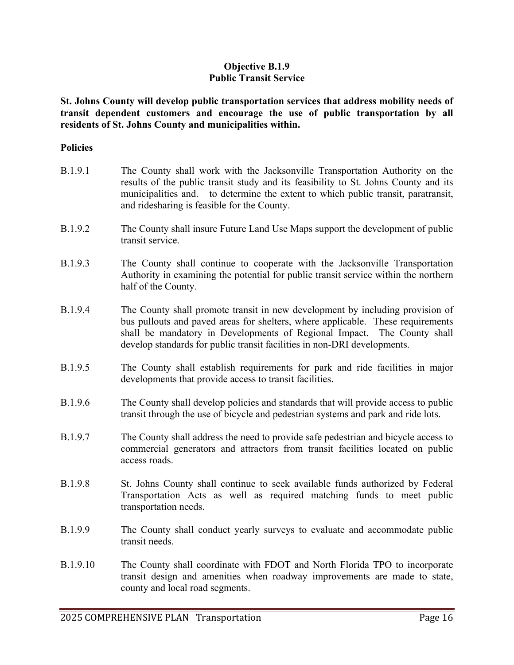## **Objective B.1.9 Public Transit Service**

**St. Johns County will develop public transportation services that address mobility needs of transit dependent customers and encourage the use of public transportation by all residents of St. Johns County and municipalities within.** 

#### **Policies**

| B.1.9.1 | The County shall work with the Jacksonville Transportation Authority on the<br>results of the public transit study and its feasibility to St. Johns County and its<br>municipalities and. to determine the extent to which public transit, paratransit,<br>and ridesharing is feasible for the County.                  |
|---------|-------------------------------------------------------------------------------------------------------------------------------------------------------------------------------------------------------------------------------------------------------------------------------------------------------------------------|
| B.1.9.2 | The County shall insure Future Land Use Maps support the development of public<br>transit service.                                                                                                                                                                                                                      |
| B.1.9.3 | The County shall continue to cooperate with the Jacksonville Transportation<br>Authority in examining the potential for public transit service within the northern<br>half of the County.                                                                                                                               |
| B.1.9.4 | The County shall promote transit in new development by including provision of<br>bus pullouts and paved areas for shelters, where applicable. These requirements<br>shall be mandatory in Developments of Regional Impact. The County shall<br>develop standards for public transit facilities in non-DRI developments. |
| B.1.9.5 | The County shall establish requirements for park and ride facilities in major<br>developments that provide access to transit facilities.                                                                                                                                                                                |
| B.1.9.6 | The County shall develop policies and standards that will provide access to public<br>transit through the use of bicycle and pedestrian systems and park and ride lots.                                                                                                                                                 |
| B.1.9.7 | The County shall address the need to provide safe pedestrian and bicycle access to<br>commercial generators and attractors from transit facilities located on public<br>access roads.                                                                                                                                   |
| B.1.9.8 | St. Johns County shall continue to seek available funds authorized by Federal<br>Transportation Acts as well as required matching funds to meet public<br>transportation needs.                                                                                                                                         |
| B.1.9.9 | The County shall conduct yearly surveys to evaluate and accommodate public                                                                                                                                                                                                                                              |

B.1.9.10 The County shall coordinate with FDOT and North Florida TPO to incorporate transit design and amenities when roadway improvements are made to state, county and local road segments.

transit needs.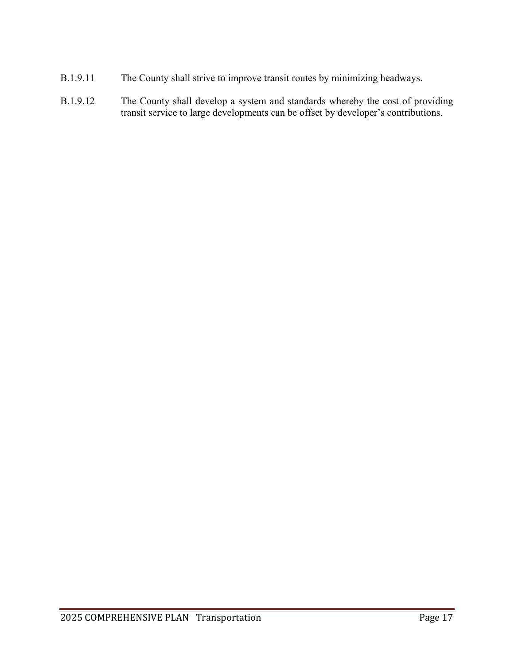- B.1.9.11 The County shall strive to improve transit routes by minimizing headways.
- B.1.9.12 The County shall develop a system and standards whereby the cost of providing transit service to large developments can be offset by developer's contributions.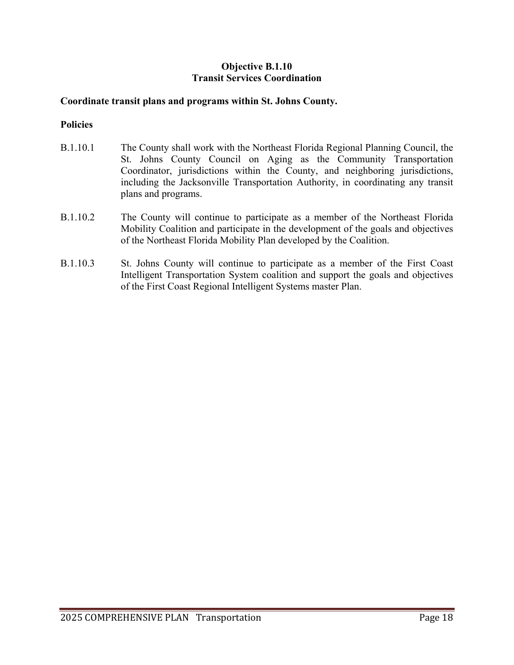# **Objective B.1.10 Transit Services Coordination**

## **Coordinate transit plans and programs within St. Johns County.**

- B.1.10.1 The County shall work with the Northeast Florida Regional Planning Council, the St. Johns County Council on Aging as the Community Transportation Coordinator, jurisdictions within the County, and neighboring jurisdictions, including the Jacksonville Transportation Authority, in coordinating any transit plans and programs.
- B.1.10.2 The County will continue to participate as a member of the Northeast Florida Mobility Coalition and participate in the development of the goals and objectives of the Northeast Florida Mobility Plan developed by the Coalition.
- B.1.10.3 St. Johns County will continue to participate as a member of the First Coast Intelligent Transportation System coalition and support the goals and objectives of the First Coast Regional Intelligent Systems master Plan.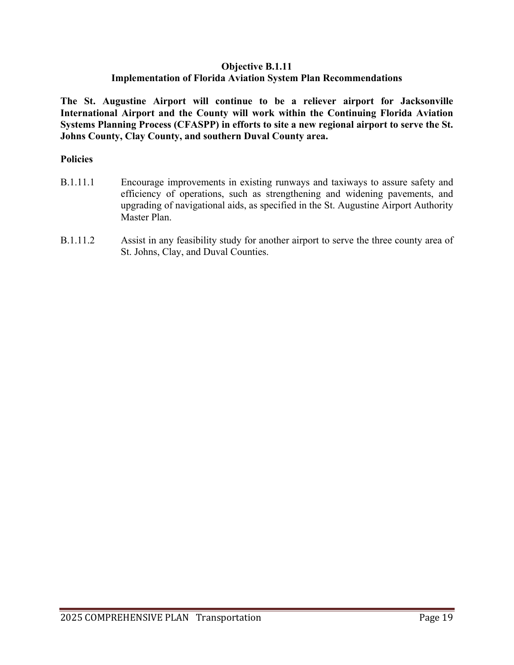# **Objective B.1.11 Implementation of Florida Aviation System Plan Recommendations**

**The St. Augustine Airport will continue to be a reliever airport for Jacksonville International Airport and the County will work within the Continuing Florida Aviation Systems Planning Process (CFASPP) in efforts to site a new regional airport to serve the St. Johns County, Clay County, and southern Duval County area.**

- B.1.11.1 Encourage improvements in existing runways and taxiways to assure safety and efficiency of operations, such as strengthening and widening pavements, and upgrading of navigational aids, as specified in the St. Augustine Airport Authority Master Plan.
- B.1.11.2 Assist in any feasibility study for another airport to serve the three county area of St. Johns, Clay, and Duval Counties.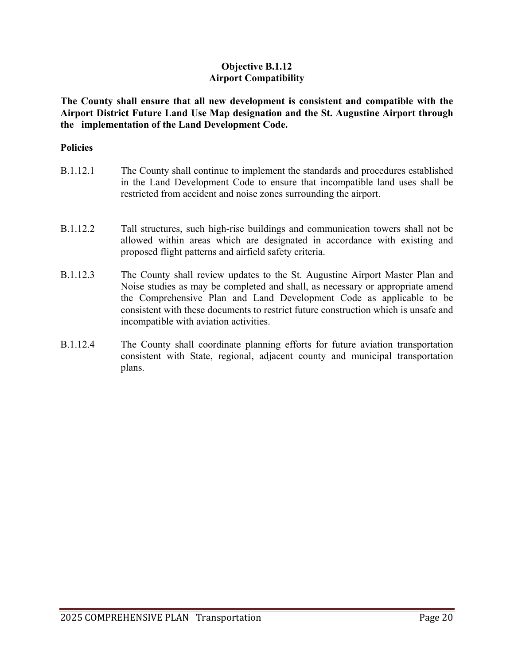# **Objective B.1.12 Airport Compatibility**

**The County shall ensure that all new development is consistent and compatible with the Airport District Future Land Use Map designation and the St. Augustine Airport through the implementation of the Land Development Code.** 

### **Policies**

| B.1.12.1        | The County shall continue to implement the standards and procedures established<br>in the Land Development Code to ensure that incompatible land uses shall be<br>restricted from accident and noise zones surrounding the airport.                                                                                                                                     |
|-----------------|-------------------------------------------------------------------------------------------------------------------------------------------------------------------------------------------------------------------------------------------------------------------------------------------------------------------------------------------------------------------------|
| B.1.12.2        | Tall structures, such high-rise buildings and communication towers shall not be<br>allowed within areas which are designated in accordance with existing and<br>proposed flight patterns and airfield safety criteria.                                                                                                                                                  |
| <b>B.1.12.3</b> | The County shall review updates to the St. Augustine Airport Master Plan and<br>Noise studies as may be completed and shall, as necessary or appropriate amend<br>the Comprehensive Plan and Land Development Code as applicable to be<br>consistent with these documents to restrict future construction which is unsafe and<br>incompatible with aviation activities. |

B.1.12.4 The County shall coordinate planning efforts for future aviation transportation consistent with State, regional, adjacent county and municipal transportation plans.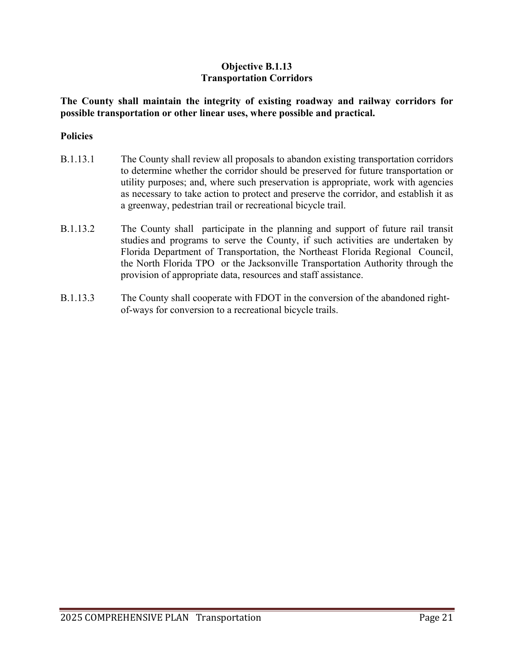# **Objective B.1.13 Transportation Corridors**

**The County shall maintain the integrity of existing roadway and railway corridors for possible transportation or other linear uses, where possible and practical.**

- B.1.13.1 The County shall review all proposals to abandon existing transportation corridors to determine whether the corridor should be preserved for future transportation or utility purposes; and, where such preservation is appropriate, work with agencies as necessary to take action to protect and preserve the corridor, and establish it as a greenway, pedestrian trail or recreational bicycle trail.
- B.1.13.2 The County shall participate in the planning and support of future rail transit studies and programs to serve the County, if such activities are undertaken by Florida Department of Transportation, the Northeast Florida Regional Council, the North Florida TPO or the Jacksonville Transportation Authority through the provision of appropriate data, resources and staff assistance.
- B.1.13.3 The County shall cooperate with FDOT in the conversion of the abandoned rightof-ways for conversion to a recreational bicycle trails.